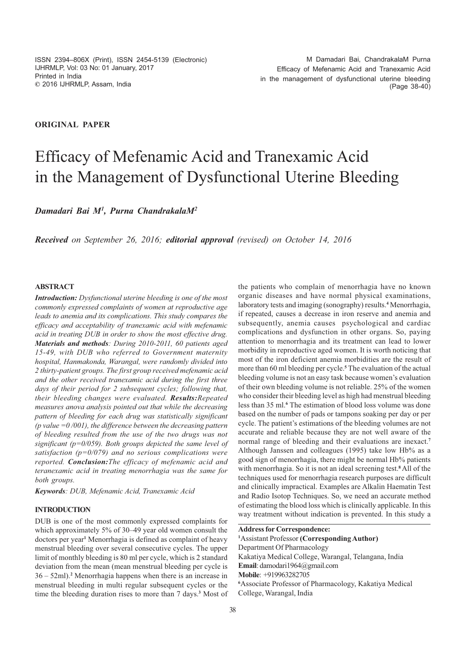## **ORIGINAL PAPER**

# Efficacy of Mefenamic Acid and Tranexamic Acid in the Management of Dysfunctional Uterine Bleeding

*Damadari Bai M<sup>1</sup> , Purna ChandrakalaM<sup>2</sup>*

*Received on September 26, 2016; editorial approval (revised) on October 14, 2016*

## **ABSTRACT**

*Introduction: Dysfunctional uterine bleeding is one of the most commonly expressed complaints of women at reproductive age leads to anemia and its complications. This study compares the efficacy and acceptability of tranexamic acid with mefenamic acid in treating DUB in order to show the most effective drug. Materials and methods: During 2010-2011, 60 patients aged 15-49, with DUB who referred to Government maternity hospital, Hanmakonda, Warangal, were randomly divided into 2 thirty-patient groups. The first group received mefenamic acid and the other received tranexamic acid during the first three days of their period for 2 subsequent cycles; following that, their bleeding changes were evaluated. Results:Repeated measures anova analysis pointed out that while the decreasing pattern of bleeding for each drug was statistically significant (p value =0 /001), the difference between the decreasing pattern of bleeding resulted from the use of the two drugs was not significant (p=0/059). Both groups depicted the same level of satisfaction (p=0/079) and no serious complications were reported. Conclusion:The efficacy of mefenamic acid and teranexamic acid in treating menorrhagia was the same for both groups.*

*Keywords: DUB, Mefenamic Acid, Tranexamic Acid*

#### **INTRODUCTION**

DUB is one of the most commonly expressed complaints for which approximately 5% of 30–49 year old women consult the doctors per year**<sup>1</sup>** Menorrhagia is defined as complaint of heavy menstrual bleeding over several consecutive cycles. The upper limit of monthly bleeding is 80 ml per cycle, which is 2 standard deviation from the mean (mean menstrual bleeding per cycle is 36 – 52ml).**<sup>2</sup>** Menorrhagia happens when there is an increase in menstrual bleeding in multi regular subsequent cycles or the time the bleeding duration rises to more than 7 days.**<sup>3</sup>** Most of

the patients who complain of menorrhagia have no known organic diseases and have normal physical examinations, laboratory tests and imaging (sonography) results.**<sup>4</sup>** Menorrhagia, if repeated, causes a decrease in iron reserve and anemia and subsequently, anemia causes psychological and cardiac complications and dysfunction in other organs. So, paying attention to menorrhagia and its treatment can lead to lower morbidity in reproductive aged women. It is worth noticing that most of the iron deficient anemia morbidities are the result of more than 60 ml bleeding per cycle.**<sup>5</sup>** The evaluation of the actual bleeding volume is not an easy task because women's evaluation of their own bleeding volume is not reliable. 25% of the women who consider their bleeding level as high had menstrual bleeding less than 35 ml.**<sup>6</sup>** The estimation of blood loss volume was done based on the number of pads or tampons soaking per day or per cycle. The patient's estimations of the bleeding volumes are not accurate and reliable because they are not well aware of the normal range of bleeding and their evaluations are inexact.**<sup>7</sup>** Although Janssen and colleagues (1995) take low Hb% as a good sign of menorrhagia, there might be normal Hb% patients with menorrhagia. So it is not an ideal screening test.**<sup>8</sup>**All of the techniques used for menorrhagia research purposes are difficult and clinically impractical. Examples are Alkalin Haematin Test and Radio Isotop Techniques. So, we need an accurate method of estimating the blood loss which is clinically applicable. In this way treatment without indication is prevented. In this study a

**Address for Correspondence:**

**<sup>1</sup>**Assistant Professor **(Corresponding Author)** Department Of Pharmacology Kakatiya Medical College, Warangal, Telangana, India **Email**: damodari1964@gmail.com **Mobile**: +919963282705 **<sup>6</sup>**Associate Professor of Pharmacology, Kakatiya Medical College, Warangal, India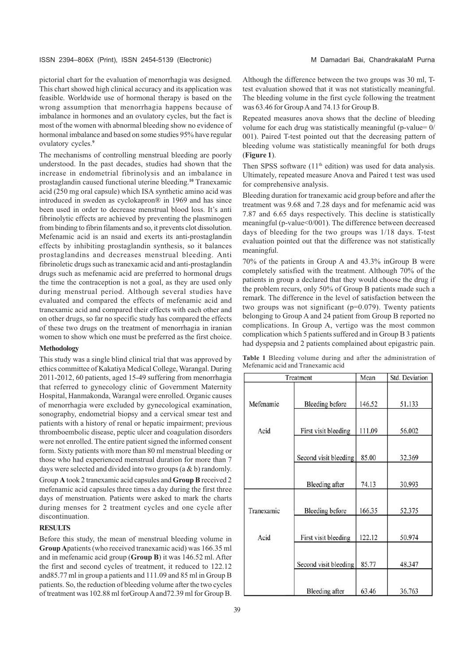pictorial chart for the evaluation of menorrhagia was designed. This chart showed high clinical accuracy and its application was feasible. Worldwide use of hormonal therapy is based on the wrong assumption that menorrhagia happens because of imbalance in hormones and an ovulatory cycles, but the fact is most of the women with abnormal bleeding show no evidence of hormonal imbalance and based on some studies 95% have regular ovulatory cycles.**<sup>9</sup>**

The mechanisms of controlling menstrual bleeding are poorly understood. In the past decades, studies had shown that the increase in endometrial fibrinolysis and an imbalance in prostaglandin caused functional uterine bleeding.**<sup>10</sup>** Tranexamic acid (250 mg oral capsule) which ISA synthetic amino acid was introduced in sweden as cyclokapron® in 1969 and has since been used in order to decrease menstrual blood loss. It's anti fibrinolytic effects are achieved by preventing the plasminogen from binding to fibrin filaments and so, it prevents clot dissolution. Mefenamic acid is an nsaid and exerts its anti-prostaglandin effects by inhibiting prostaglandin synthesis, so it balances prostaglandins and decreases menstrual bleeding. Anti fibrinoletic drugs such as tranexamic acid and anti-prostaglandin drugs such as mefenamic acid are preferred to hormonal drugs the time the contraception is not a goal, as they are used only during menstrual period. Although several studies have evaluated and compared the effects of mefenamic acid and tranexamic acid and compared their effects with each other and on other drugs, so far no specific study has compared the effects of these two drugs on the treatment of menorrhagia in iranian women to show which one must be preferred as the first choice.

#### **Methodology**

This study was a single blind clinical trial that was approved by ethics committee of Kakatiya Medical College, Warangal. During 2011-2012, 60 patients, aged 15-49 suffering from menorrhagia that referred to gynecology clinic of Government Maternity Hospital, Hanmakonda, Warangal were enrolled. Organic causes of menorrhagia were excluded by gynecological examination, sonography, endometrial biopsy and a cervical smear test and patients with a history of renal or hepatic impairment; previous thromboembolic disease, peptic ulcer and coagulation disorders were not enrolled. The entire patient signed the informed consent form. Sixty patients with more than 80 ml menstrual bleeding or those who had experienced menstrual duration for more than 7 days were selected and divided into two groups (a & b) randomly.

Group **A** took 2 tranexamic acid capsules and **Group B** received 2 mefenamic acid capsules three times a day during the first three days of menstruation. Patients were asked to mark the charts during menses for 2 treatment cycles and one cycle after discontinuation.

## **RESULTS**

Before this study, the mean of menstrual bleeding volume in **Group A**patients (who received tranexamic acid) was 166.35 ml and in mefenamic acid group (**Group B**) it was 146.52 ml. After the first and second cycles of treatment, it reduced to 122.12 and85.77 ml in group a patients and 111.09 and 85 ml in Group B patients. So, the reduction of bleeding volume after the two cycles of treatment was 102.88 ml forGroup A and72.39 ml for Group B.

Although the difference between the two groups was 30 ml, Ttest evaluation showed that it was not statistically meaningful. The bleeding volume in the first cycle following the treatment was 63.46 for Group A and 74.13 for Group B.

Repeated measures anova shows that the decline of bleeding volume for each drug was statistically meaningful (p-value= 0/ 001). Paired T-test pointed out that the decreasing pattern of bleeding volume was statistically meaningful for both drugs (**Figure 1**).

Then SPSS software (11<sup>th</sup> edition) was used for data analysis. Ultimately, repeated measure Anova and Paired t test was used for comprehensive analysis.

Bleeding duration for tranexamic acid group before and after the treatment was 9.68 and 7.28 days and for mefenamic acid was 7.87 and 6.65 days respectively. This decline is statistically meaningful (p-value<0/001). The difference between decreased days of bleeding for the two groups was 1/18 days. T-test evaluation pointed out that the difference was not statistically meaningful.

70% of the patients in Group A and 43.3% inGroup B were completely satisfied with the treatment. Although 70% of the patients in group a declared that they would choose the drug if the problem recurs, only 50% of Group B patients made such a remark. The difference in the level of satisfaction between the two groups was not significant (p=0.079). Twenty patients belonging to Group A and 24 patient from Group B reported no complications. In Group A, vertigo was the most common complication which 5 patients suffered and in Group B 3 patients had dyspepsia and 2 patients complained about epigastric pain.

|  |                                    |  |  | <b>Table 1</b> Bleeding volume during and after the administration of |  |
|--|------------------------------------|--|--|-----------------------------------------------------------------------|--|
|  | Mefenamic acid and Tranexamic acid |  |  |                                                                       |  |

|            | Treatment              | Mean   | Std. Deviation |  |
|------------|------------------------|--------|----------------|--|
| Mefenamic  | <b>Bleeding before</b> | 146.52 | 51.133         |  |
|            |                        |        |                |  |
| Acid       | First visit bleeding   | 111.09 | 56.002         |  |
|            | Second visit bleeding  | 85.00  | 32.369         |  |
|            | <b>Bleeding</b> after  | 74.13  | 30.993         |  |
| Tranexamic | <b>Bleeding</b> before | 166.35 | 52.375         |  |
| Acid       | First visit bleeding   | 122.12 | 50.974         |  |
|            | Second visit bleeding  | 85.77  | 48.347         |  |
|            | <b>Bleeding</b> after  | 63.46  | 36.763         |  |